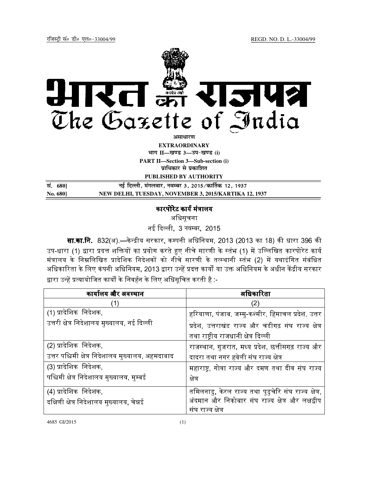

**EXTRAORDINARY Hkkx II—[k.M 3—mi&[k.M (i)**

**PART II—Section 3—Sub-section (i) प्राधिकार से प्रकाशित** 

**PUBLISHED BY AUTHORITY**

| सं. 680] | नई दिल्ली, मंगलवार, नवम्बर 3, 2015 ⁄ कार्तिक 12, 1937 |
|----------|-------------------------------------------------------|
| No. 680] | NEW DELHI, TUESDAY, NOVEMBER 3, 2015/KARTIKA 12, 1937 |

## कारपोरेट कार्य मंत्रालय

अिधसूचना

नई दिल्ली, 3 नवम्बर, 2015

**सा.का.नि**. 832(अ) —केन्द्रीय सरकार, कम्पनी अधिनियम, 2013 (2013 का 18) की धारा 396 की उप-धारा (1) द्वारा प्रदत्त शक्तियों का प्रयोग करते हुए नीचे सारणी के स्तंभ (1) में उल्लिखित कारपोरेट कार्य मंत्रालय के निम्नलिखित प्रादेशिक निदेशकों को नीचे सारणी के तत्स्थानी स्तंभ (2) में यथाइंगित संबंधित अधिकारिता के लिए कंपनी अधिनियम, 2013 द्वारा उन्हें प्रदत्त कार्यों या उक्त अधिनियम के अधीन केंद्रीय सरकार द्वारा उन्हें प्रत्यायोजित कार्यों के निवर्हन के लिए अधिसूचित करती है :-

| कार्यालय और अवस्थान                               | अधिकारिता                                            |
|---------------------------------------------------|------------------------------------------------------|
| (1)                                               | (2)                                                  |
| (1) प्रादेशिक निदेशक,                             | हरियाणा, पंजाब, जम्मु-कश्मीर, हिमाचल प्रदेश, उत्तर   |
| उत्तरी क्षेत्र निदेशालय मुख्यालय, नई दिल्ली       | प्रदेश, उत्तराखंड राज्य और चंडीगढ़ संघ राज्य क्षेत्र |
|                                                   | तथा राष्ट्रीय राजधानी क्षेत्र दिल्ली                 |
| (2) प्रादेशिक निदेशक,                             | राजस्थान, गुजरात, मध्य प्रदेश, छत्तीसगढ़ राज्य और    |
| उत्तर पश्चिमी क्षेत्र निदेशालय मुख्यालय, अहमदाबाद | दादरा तथा नगर हवेली संघ राज्य क्षेत्र                |
| (3) प्रादेशिक निदेशक,                             | महाराष्ट्र, गोवा राज्य और दमण तथा दीव संघ राज्य      |
| पश्चिमी क्षेत्र निदेशालय मुख्यालय, मुम्बई         | क्षेत्र                                              |
| (4) प्रादेशिक निदेशक,                             | तमिलनाडु, केरल राज्य तथा पुडुचेरि संघ राज्य क्षेत्र, |
| दक्षिणी क्षेत्र निदेशालय मुख्यालय, चेन्नई         | अंदमान और निकोबार संघ राज्य क्षेत्र और लक्षद्वीप     |
|                                                   | संघ राज्य क्षेत्र                                    |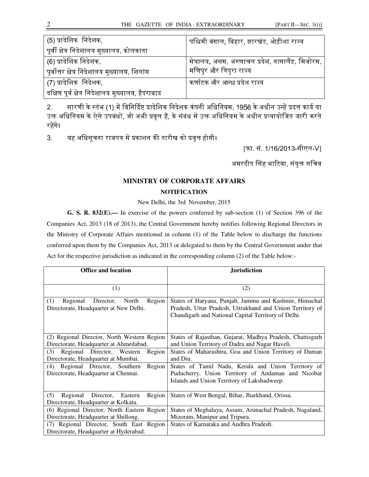| (5) प्रादेशिक निदेशक,                            | पश्चिमी बंगाल, बिहार, झारखंड, ओड़ीशा राज्य     |
|--------------------------------------------------|------------------------------------------------|
| पूर्वी क्षेत्र निदेशालय मुख्यालय, कोलकाता        |                                                |
| (6) प्रादेशिक निदेशक,                            | मेघालय, असम, अरुणाचल प्रदेश, नागालैंड, मिजोरम, |
| पूर्वोत्तर क्षेत्र निदेशालय मुख्यालय, शिलांग     | मणिपुर और त्रिपुरा राज्य                       |
| (7) प्रादेशिक  निदेशक,                           | कर्णाटक और आन्ध्र प्रदेश राज्य                 |
| दक्षिण पूर्व क्षेत्र निदेशालय मुख्यालय, हैदराबाद |                                                |

2. सारणी के स्तंभ (1) में विनिर्दिष्ट प्रादेशिक निदेशक कंपनी अधिनियम, 1956 के अधीन उन्हें प्रदत्त कार्य या उक्त अधिनियम के ऐसे उपबंधों, जो अभी प्रवृत्त हैं, के संबंध में उक्त अधिनियम के अधीन प्रत्यायोजित जारी करते रहेंगे।

3. यह अधिसूचना राजपत्र में प्रकाशन की तारीख को प्रवृत्त होगी।

[फा. सं. 1/16/2013-सीएल-V]

अमरदीप सिंह भाटिया, संयुक्त सचिव

## **MINISTRY OF CORPORATE AFFAIRS NOTIFICATION**

New Delhi, the 3rd November, 2015

**G. S. R. 832(E).—** In exercise of the powers conferred by sub-section (1) of Section 396 of the Companies Act, 2013 (18 of 2013), the Central Government hereby notifies following Regional Directors in the Ministry of Corporate Affairs mentioned in column (1) of the Table below to discharge the functions conferred upon them by the Companies Act, 2013 or delegated to them by the Central Government under that Act for the respective jurisdiction as indicated in the corresponding column (2) of the Table below:-

| <b>Office and location</b>                                                             | <b>Jurisdiction</b>                                                                                                                                                        |
|----------------------------------------------------------------------------------------|----------------------------------------------------------------------------------------------------------------------------------------------------------------------------|
|                                                                                        |                                                                                                                                                                            |
| (1)                                                                                    | (2)                                                                                                                                                                        |
| (1)<br>Regional<br>Director, North<br>Region<br>Directorate, Headquarter at New Delhi. | States of Haryana, Punjab, Jammu and Kashmir, Himachal<br>Pradesh, Uttar Pradesh, Uttrakhand and Union Territory of<br>Chandigarh and National Capital Territory of Delhi. |
| (2) Regional Director, North Western Region<br>Directorate, Headquarter at Ahmedabad.  | States of Rajasthan, Gujarat, Madhya Pradesh, Chattisgarh<br>and Union Territory of Dadra and Nagar Haveli.                                                                |
| Regional Director, Western<br>(3)<br>Region<br>Directorate, Headquarter at Mumbai.     | States of Maharashtra, Goa and Union Territory of Daman<br>and Diu.                                                                                                        |
| Region<br>Regional Director, Southern<br>(4)<br>Directorate, Headquarter at Chennai.   | States of Tamil Nadu, Kerala and Union Territory of<br>Puducherry, Union Territory of Andaman and Nicobar<br>Islands and Union Territory of Lakshadweep.                   |
| (5)<br>Regional Director, Eastern<br>Region<br>Directorate, Headquarter at Kolkata.    | States of West Bengal, Bihar, Jharkhand, Orissa.                                                                                                                           |
| (6) Regional Director, North Eastern Region<br>Directorate, Headquarter at Shillong.   | States of Meghalaya, Assam, Arunachal Pradesh, Nagaland,<br>Mizoram, Manipur and Tripura.                                                                                  |
| (7) Regional Director, South East Region<br>Directorate, Headquarter at Hyderabad.     | States of Karnataka and Andhra Pradesh.                                                                                                                                    |